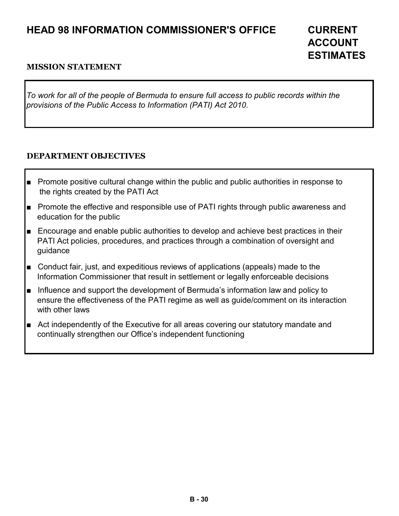## **HEAD 98 INFORMATION COMMISSIONER'S OFFICE CURRENT**

# **ACCOUNT ESTIMATES**

#### **MISSION STATEMENT**

*To work for all of the people of Bermuda to ensure full access to public records within the provisions of the Public Access to Information (PATI) Act 2010.* 

#### **DEPARTMENT OBJECTIVES**

- Promote positive cultural change within the public and public authorities in response to the rights created by the PATI Act
- Promote the effective and responsible use of PATI rights through public awareness and education for the public
- Encourage and enable public authorities to develop and achieve best practices in their PATI Act policies, procedures, and practices through a combination of oversight and guidance
- Conduct fair, just, and expeditious reviews of applications (appeals) made to the Information Commissioner that result in settlement or legally enforceable decisions
- Influence and support the development of Bermuda's information law and policy to ensure the effectiveness of the PATI regime as well as guide/comment on its interaction with other laws
- Act independently of the Executive for all areas covering our statutory mandate and continually strengthen our Office's independent functioning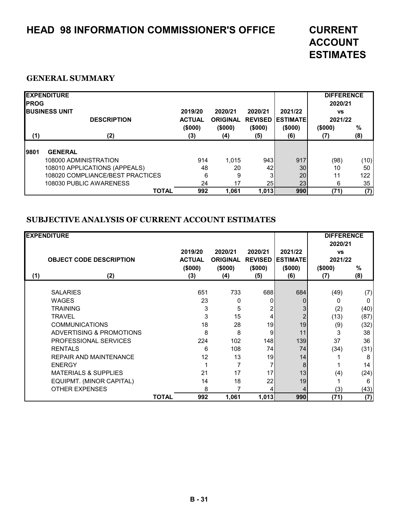# **HEAD 98 INFORMATION COMMISSIONER'S OFFICE CURRENT**

# **ACCOUNT ESTIMATES**

#### **GENERAL SUMMARY**

| <b>IPROG</b> | <b>EXPENDITURE</b><br><b>IBUSINESS UNIT</b><br><b>DESCRIPTION</b> | 2019/20<br><b>ACTUAL</b> | 2020/21<br><b>ORIGINAL</b> | 2020/21<br><b>REVISED</b> | 2021/22<br><b>IESTIMATEI</b> | <b>DIFFERENCE</b><br>2020/21<br><b>VS</b><br>2021/22 |             |
|--------------|-------------------------------------------------------------------|--------------------------|----------------------------|---------------------------|------------------------------|------------------------------------------------------|-------------|
| (1)          | (2)                                                               | (\$000)<br>(3)           | (\$000)<br>(4)             | (\$000)<br>(5)            | (\$000)<br>(6)               | (\$000)<br>(7)                                       | $\%$<br>(8) |
| 9801         | <b>GENERAL</b>                                                    |                          |                            |                           |                              |                                                      |             |
|              | 108000 ADMINISTRATION                                             | 914                      | 1.015                      | 943                       | 917                          | (98)                                                 | (10)        |
|              | 108010 APPLICATIONS (APPEALS)                                     | 48                       | 20                         | 42                        | 30 <sub>1</sub>              | 10                                                   | 50          |
|              | 108020 COMPLIANCE/BEST PRACTICES                                  | 6                        | 9                          |                           | 20                           | 11                                                   | 122         |
|              | 108030 PUBLIC AWARENESS                                           | 24                       | 17                         | 25 <sub>l</sub>           | 23                           | 6                                                    | 35          |
|              | <b>TOTAL</b>                                                      | 992                      | 1.061                      | 1,013                     | 990                          | (71)                                                 | (7)         |

#### **SUBJECTIVE ANALYSIS OF CURRENT ACCOUNT ESTIMATES**

| <b>EXPENDITURE</b> |                                 |              |                                  |          |                |                 | <b>DIFFERENCE</b><br>2020/21 |      |
|--------------------|---------------------------------|--------------|----------------------------------|----------|----------------|-----------------|------------------------------|------|
|                    |                                 |              | 2019/20                          | 2020/21  | 2020/21        | 2021/22         | <b>VS</b>                    |      |
|                    | <b>OBJECT CODE DESCRIPTION</b>  |              | <b>ACTUAL</b><br><b>ORIGINAL</b> |          | <b>REVISED</b> | <b>ESTIMATE</b> | 2021/22                      |      |
|                    |                                 |              | (\$000)                          | (\$000)  | (\$000)        | (\$000)         | (\$000)                      | %    |
| (1)                | (2)                             |              | (3)                              | (4)      | (5)            | (6)             | (7)                          | (8)  |
|                    |                                 |              |                                  |          |                |                 |                              |      |
|                    | <b>SALARIES</b>                 |              | 651                              | 733      | 688            | 684             | (49)                         | (7)  |
|                    | <b>WAGES</b>                    |              | 23                               | $\Omega$ | O              |                 | O                            | 0    |
|                    | <b>TRAINING</b>                 |              | 3                                | 5        | 2              |                 | (2)                          | (40) |
|                    | <b>TRAVEL</b>                   |              | 3                                | 15       | $\overline{4}$ |                 | (13)                         | (87) |
|                    | <b>COMMUNICATIONS</b>           |              | 18                               | 28       | 19             | 19              | (9)                          | (32) |
|                    | ADVERTISING & PROMOTIONS        |              | 8                                | 8        | 9              | 11              | 3                            | 38   |
|                    | PROFESSIONAL SERVICES           |              | 224                              | 102      | 148            | 139             | 37                           | 36   |
|                    | <b>RENTALS</b>                  |              | 6                                | 108      | 74             | 74              | (34)                         | (31) |
|                    | <b>REPAIR AND MAINTENANCE</b>   |              | 12                               | 13       | 19             | 14              |                              | 8    |
|                    | <b>ENERGY</b>                   |              |                                  |          |                | 8               |                              | 14   |
|                    | <b>MATERIALS &amp; SUPPLIES</b> |              | 21                               | 17       | 17             | 13              | (4)                          | (24) |
|                    | EQUIPMT. (MINOR CAPITAL)        |              | 14                               | 18       | 22             | 19              |                              | 6    |
|                    | <b>OTHER EXPENSES</b>           |              | 8                                |          |                |                 | (3)                          | (43) |
|                    |                                 | <b>TOTAL</b> | 992                              | 1,061    | 1,013          | 990             | (71)                         | (7)  |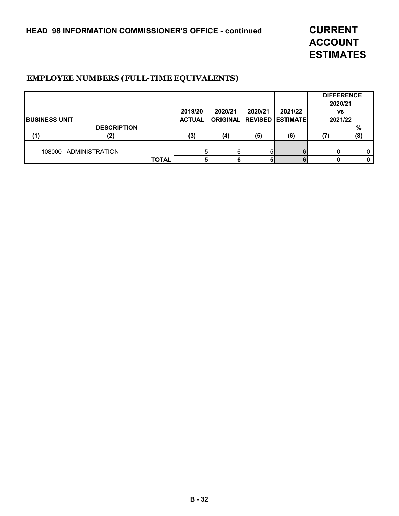**ACCOUNT ESTIMATES**

#### **EMPLOYEE NUMBERS (FULL-TIME EQUIVALENTS)**

|                       |                    |              |               |         |         |                                  | <b>DIFFERENCE</b><br>2020/21 |      |
|-----------------------|--------------------|--------------|---------------|---------|---------|----------------------------------|------------------------------|------|
|                       |                    |              | 2019/20       | 2020/21 | 2020/21 | 2021/22                          | <b>VS</b>                    |      |
| <b>IBUSINESS UNIT</b> |                    |              | <b>ACTUAL</b> |         |         | <b>ORIGINAL REVISED ESTIMATE</b> | 2021/22                      |      |
|                       | <b>DESCRIPTION</b> |              |               |         |         |                                  |                              | $\%$ |
| (1)                   | (2)                |              | (3)           | (4)     | (5)     | (6)                              | (7                           | (8)  |
| 108000                | ADMINISTRATION     |              |               | 6       | 5.      | հ                                |                              | 0    |
|                       |                    | <b>TOTAL</b> |               | 6       |         |                                  |                              | 0    |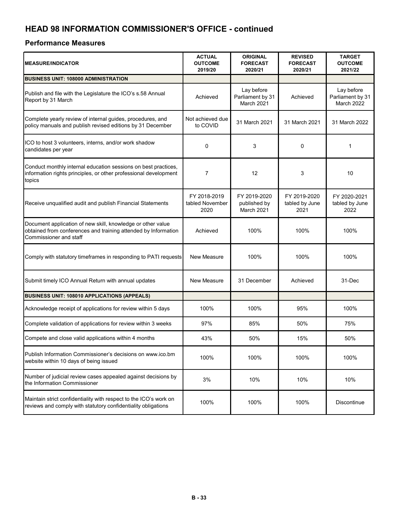## **HEAD 98 INFORMATION COMMISSIONER'S OFFICE - continued**

#### **Performance Measures**

| <b>MEASURE/INDICATOR</b>                                                                                                                                | <b>ACTUAL</b><br><b>OUTCOME</b><br>2019/20 | <b>ORIGINAL</b><br><b>FORECAST</b><br>2020/21       | <b>REVISED</b><br><b>FORECAST</b><br>2020/21 | <b>TARGET</b><br><b>OUTCOME</b><br>2021/22   |  |
|---------------------------------------------------------------------------------------------------------------------------------------------------------|--------------------------------------------|-----------------------------------------------------|----------------------------------------------|----------------------------------------------|--|
| <b>BUSINESS UNIT: 108000 ADMINISTRATION</b>                                                                                                             |                                            |                                                     |                                              |                                              |  |
| Publish and file with the Legislature the ICO's s.58 Annual<br>Report by 31 March                                                                       | Achieved                                   | Lay before<br>Parliament by 31<br><b>March 2021</b> | Achieved                                     | Lay before<br>Parliament by 31<br>March 2022 |  |
| Complete yearly review of internal guides, procedures, and<br>policy manuals and publish revised editions by 31 December                                | Not achieved due<br>to COVID               | 31 March 2021                                       | 31 March 2021                                | 31 March 2022                                |  |
| ICO to host 3 volunteers, interns, and/or work shadow<br>candidates per year                                                                            | 0                                          | 3                                                   | 0                                            | 1                                            |  |
| Conduct monthly internal education sessions on best practices,<br>information rights principles, or other professional development<br>topics            | $\overline{7}$                             | 12                                                  | 3                                            | 10                                           |  |
| Receive unqualified audit and publish Financial Statements                                                                                              | FY 2018-2019<br>tabled November<br>2020    | FY 2019-2020<br>published by<br>March 2021          | FY 2019-2020<br>tabled by June<br>2021       | FY 2020-2021<br>tabled by June<br>2022       |  |
| Document application of new skill, knowledge or other value<br>obtained from conferences and training attended by Information<br>Commissioner and staff | Achieved                                   | 100%                                                | 100%                                         | 100%                                         |  |
| Comply with statutory timeframes in responding to PATI requests                                                                                         | New Measure                                | 100%                                                | 100%                                         | 100%                                         |  |
| Submit timely ICO Annual Return with annual updates                                                                                                     | <b>New Measure</b>                         | 31 December                                         | Achieved                                     | 31-Dec                                       |  |
| <b>BUSINESS UNIT: 108010 APPLICATIONS (APPEALS)</b>                                                                                                     |                                            |                                                     |                                              |                                              |  |
| Acknowledge receipt of applications for review within 5 days                                                                                            | 100%                                       | 100%                                                | 95%                                          | 100%                                         |  |
| Complete validation of applications for review within 3 weeks                                                                                           | 97%                                        | 85%                                                 | 50%                                          | 75%                                          |  |
| Compete and close valid applications within 4 months                                                                                                    | 43%                                        | 50%                                                 | 15%                                          | 50%                                          |  |
| Publish Information Commissioner's decisions on www.ico.bm<br>website within 10 days of being issued                                                    | 100%                                       | 100%                                                | 100%                                         | 100%                                         |  |
| Number of judicial review cases appealed against decisions by<br>the Information Commissioner                                                           | 3%                                         | 10%                                                 | 10%                                          | 10%                                          |  |
| Maintain strict confidentiality with respect to the ICO's work on<br>reviews and comply with statutory confidentiality obligations                      | 100%                                       | 100%                                                | 100%                                         | Discontinue                                  |  |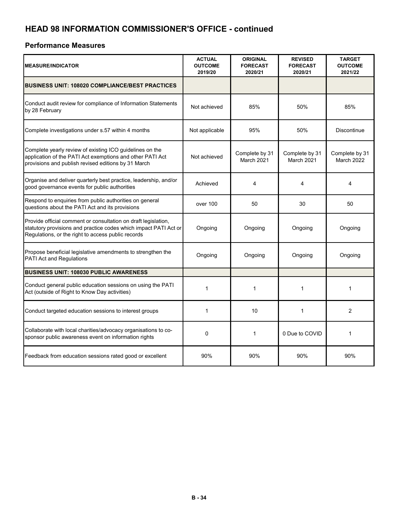## **HEAD 98 INFORMATION COMMISSIONER'S OFFICE - continued**

#### **Performance Measures**

| <b>MEASURE/INDICATOR</b>                                                                                                                                                                 | <b>ACTUAL</b><br><b>OUTCOME</b><br>2019/20 | <b>ORIGINAL</b><br><b>FORECAST</b><br>2020/21 | <b>REVISED</b><br><b>FORECAST</b><br>2020/21 | <b>TARGET</b><br><b>OUTCOME</b><br>2021/22 |
|------------------------------------------------------------------------------------------------------------------------------------------------------------------------------------------|--------------------------------------------|-----------------------------------------------|----------------------------------------------|--------------------------------------------|
| <b>BUSINESS UNIT: 108020 COMPLIANCE/BEST PRACTICES</b>                                                                                                                                   |                                            |                                               |                                              |                                            |
| Conduct audit review for compliance of Information Statements<br>by 28 February                                                                                                          | Not achieved                               | 85%                                           | 50%                                          | 85%                                        |
| Complete investigations under s.57 within 4 months                                                                                                                                       | Not applicable                             | 95%                                           | 50%                                          | Discontinue                                |
| Complete yearly review of existing ICO guidelines on the<br>application of the PATI Act exemptions and other PATI Act<br>provisions and publish revised editions by 31 March             | Not achieved                               | Complete by 31<br>March 2021                  | Complete by 31<br>March 2021                 | Complete by 31<br>March 2022               |
| Organise and deliver quarterly best practice, leadership, and/or<br>good governance events for public authorities                                                                        | Achieved                                   | 4                                             | 4                                            | 4                                          |
| Respond to enquiries from public authorities on general<br>questions about the PATI Act and its provisions                                                                               | over 100                                   | 50                                            | 30                                           | 50                                         |
| Provide official comment or consultation on draft legislation,<br>statutory provisions and practice codes which impact PATI Act or<br>Regulations, or the right to access public records | Ongoing                                    | Ongoing                                       | Ongoing                                      | Ongoing                                    |
| Propose beneficial legislative amendments to strengthen the<br>PATI Act and Regulations                                                                                                  | Ongoing                                    | Ongoing                                       | Ongoing                                      | Ongoing                                    |
| <b>BUSINESS UNIT: 108030 PUBLIC AWARENESS</b>                                                                                                                                            |                                            |                                               |                                              |                                            |
| Conduct general public education sessions on using the PATI<br>Act (outside of Right to Know Day activities)                                                                             | 1                                          | 1                                             | 1                                            | 1                                          |
| Conduct targeted education sessions to interest groups                                                                                                                                   | 1                                          | 10                                            | 1                                            | 2                                          |
| Collaborate with local charities/advocacy organisations to co-<br>sponsor public awareness event on information rights                                                                   | $\mathbf 0$                                | $\mathbf{1}$                                  | 0 Due to COVID                               | 1                                          |
| Feedback from education sessions rated good or excellent                                                                                                                                 | 90%                                        | 90%                                           | 90%                                          | 90%                                        |